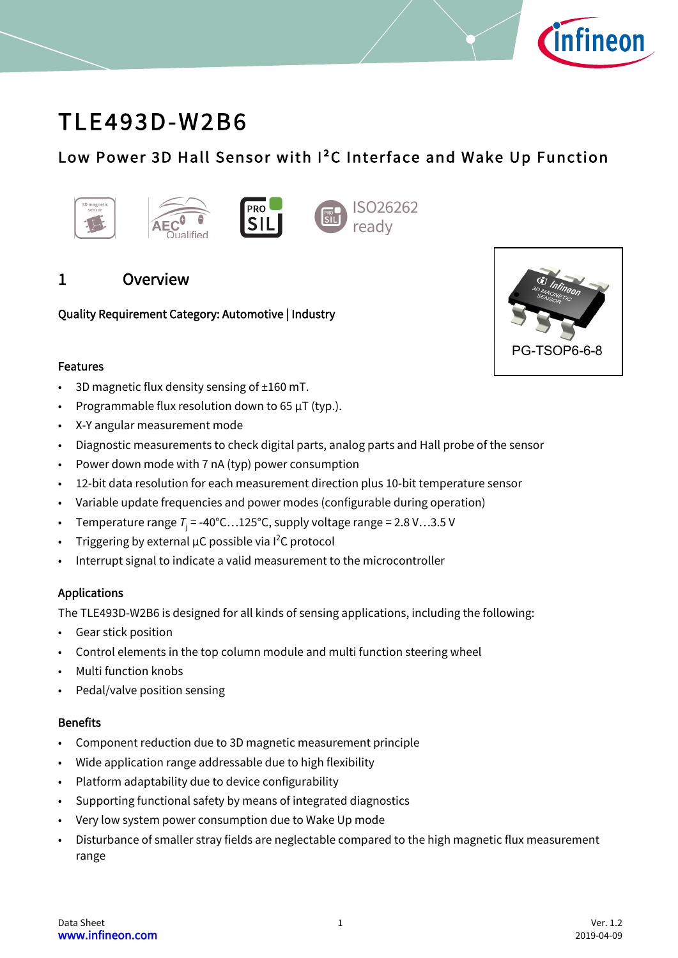

# TLE493D-W2B6

# Low Power 3D Hall Sensor with <sup>2</sup>C Interface and Wake Up Function



# <span id="page-0-0"></span>1 Overview

Quality Requirement Category: Automotive | Industry



#### Features

- 3D magnetic flux density sensing of ±160 mT.
- Programmable flux resolution down to 65 µT (typ.).
- X-Y angular measurement mode
- Diagnostic measurements to check digital parts, analog parts and Hall probe of the sensor
- Power down mode with 7 nA (typ) power consumption
- 12-bit data resolution for each measurement direction plus 10-bit temperature sensor
- Variable update frequencies and power modes (configurable during operation)
- Temperature range  $T_i = -40^{\circ}$ C...125°C, supply voltage range = 2.8 V...3.5 V
- Triggering by external  $\mu$ C possible via I<sup>2</sup>C protocol
- Interrupt signal to indicate a valid measurement to the microcontroller

#### Applications

The TLE493D-W2B6 is designed for all kinds of sensing applications, including the following:

- Gear stick position
- Control elements in the top column module and multi function steering wheel
- Multi function knobs
- Pedal/valve position sensing

#### Benefits

- Component reduction due to 3D magnetic measurement principle
- Wide application range addressable due to high flexibility
- Platform adaptability due to device configurability
- Supporting functional safety by means of integrated diagnostics
- Very low system power consumption due to Wake Up mode
- Disturbance of smaller stray fields are neglectable compared to the high magnetic flux measurement range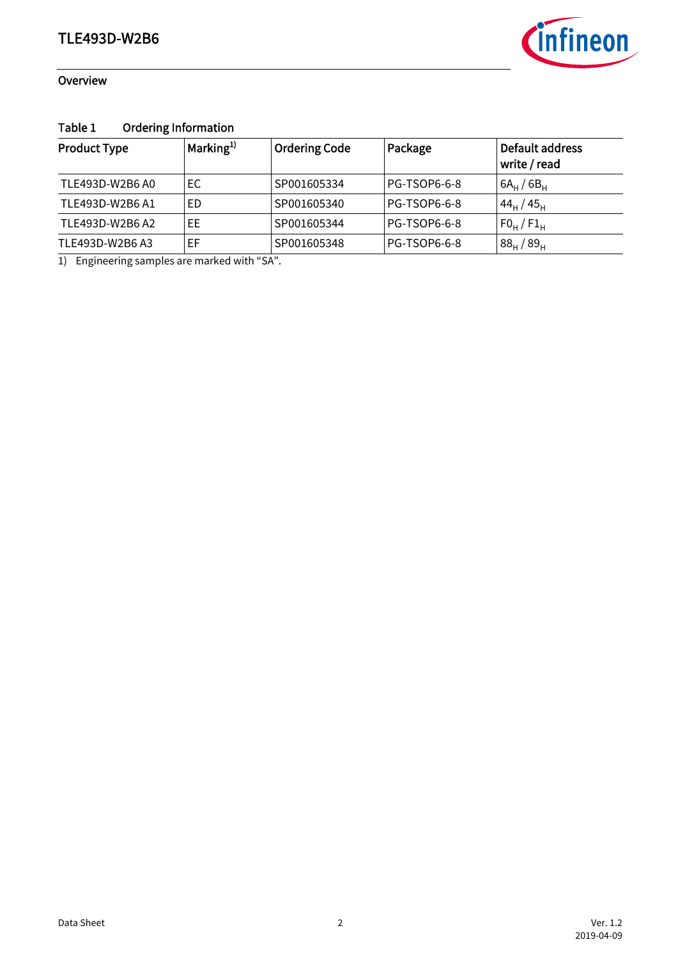

#### **Overview**

# Table 1 Ordering Information

| <b>Product Type</b> | $\vert$ Marking <sup>1)</sup> | <b>Ordering Code</b> | Package             | Default address<br>write / read   |
|---------------------|-------------------------------|----------------------|---------------------|-----------------------------------|
| TLE493D-W2B6 A0     | EC.                           | SP001605334          | PG-TSOP6-6-8        | $6A_H/6B_H$                       |
| TLE493D-W2B6 A1     | ED                            | SP001605340          | <b>PG-TSOP6-6-8</b> | $44_{\text{H}}$ / $45_{\text{H}}$ |
| TLE493D-W2B6 A2     | EE                            | SP001605344          | PG-TSOP6-6-8        | $F0_H/F1_H$                       |
| TLE493D-W2B6 A3     | ЕF                            | SP001605348          | <b>PG-TSOP6-6-8</b> | $88_{\text{H}}/89_{\text{H}}$     |

1) Engineering samples are marked with "SA".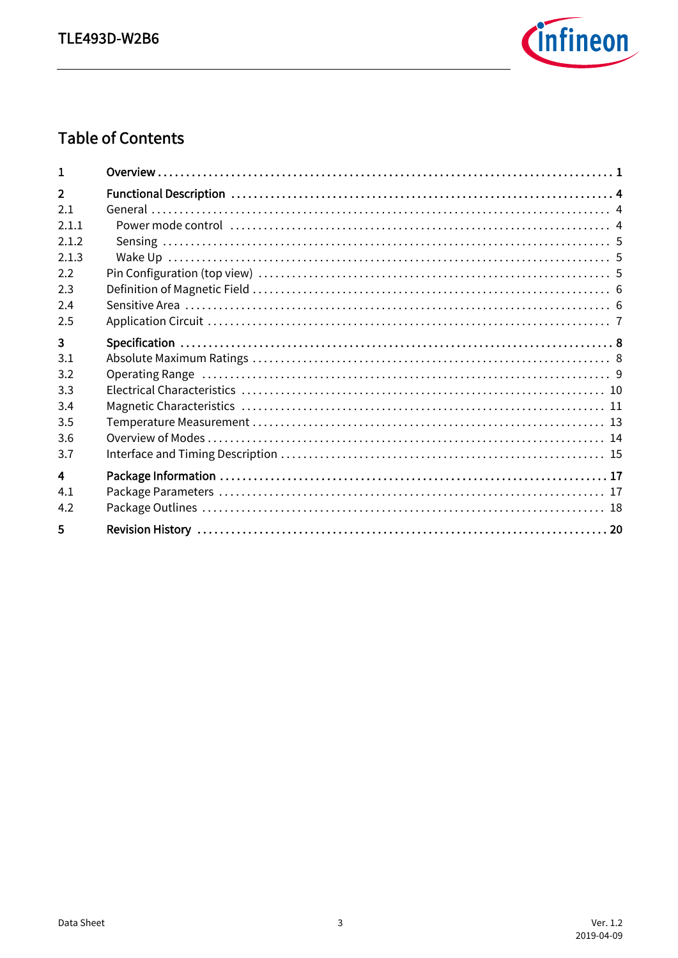

# **Table of Contents**

| $\overline{2}$          |  |
|-------------------------|--|
| 2.1                     |  |
| 2.1.1                   |  |
| 2.1.2                   |  |
| 2.1.3                   |  |
| 2.2                     |  |
| 2.3                     |  |
| 2.4                     |  |
| 2.5                     |  |
| 3                       |  |
| 3.1                     |  |
| 3.2                     |  |
| 3.3                     |  |
| 3.4                     |  |
| 3.5                     |  |
| 3.6                     |  |
| 3.7                     |  |
| $\overline{\mathbf{4}}$ |  |
| 4.1                     |  |
| 4.2                     |  |
| 5                       |  |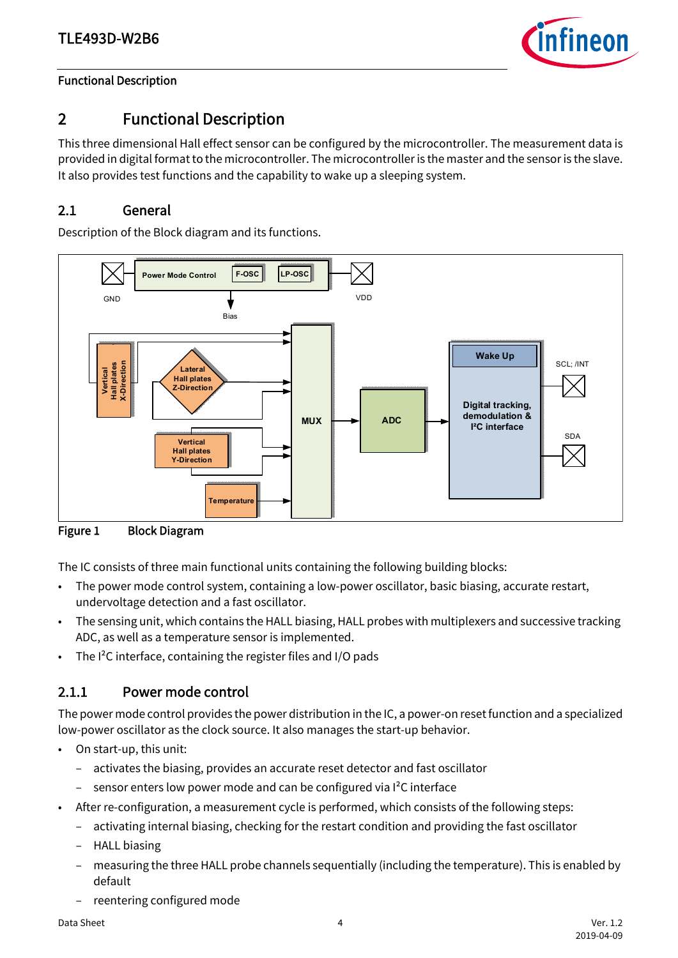

# <span id="page-3-0"></span>2 Functional Description

This three dimensional Hall effect sensor can be configured by the microcontroller. The measurement data is provided in digital format to the microcontroller. The microcontroller is the master and the sensor is the slave. It also provides test functions and the capability to wake up a sleeping system.

# <span id="page-3-1"></span>2.1 General

Description of the Block diagram and its functions.



Figure 1 Block Diagram

The IC consists of three main functional units containing the following building blocks:

- The power mode control system, containing a low-power oscillator, basic biasing, accurate restart, undervoltage detection and a fast oscillator.
- The sensing unit, which contains the HALL biasing, HALL probes with multiplexers and successive tracking ADC, as well as a temperature sensor is implemented.
- The I<sup>2</sup>C interface, containing the register files and I/O pads

# <span id="page-3-2"></span>2.1.1 Power mode control

The power mode control provides the power distribution in the IC, a power-on reset function and a specialized low-power oscillator as the clock source. It also manages the start-up behavior.

- On start-up, this unit:
	- activates the biasing, provides an accurate reset detector and fast oscillator
	- sensor enters low power mode and can be configured via I<sup>2</sup>C interface
- After re-configuration, a measurement cycle is performed, which consists of the following steps:
	- activating internal biasing, checking for the restart condition and providing the fast oscillator
	- HALL biasing
	- measuring the three HALL probe channels sequentially (including the temperature). This is enabled by default
	- reentering configured mode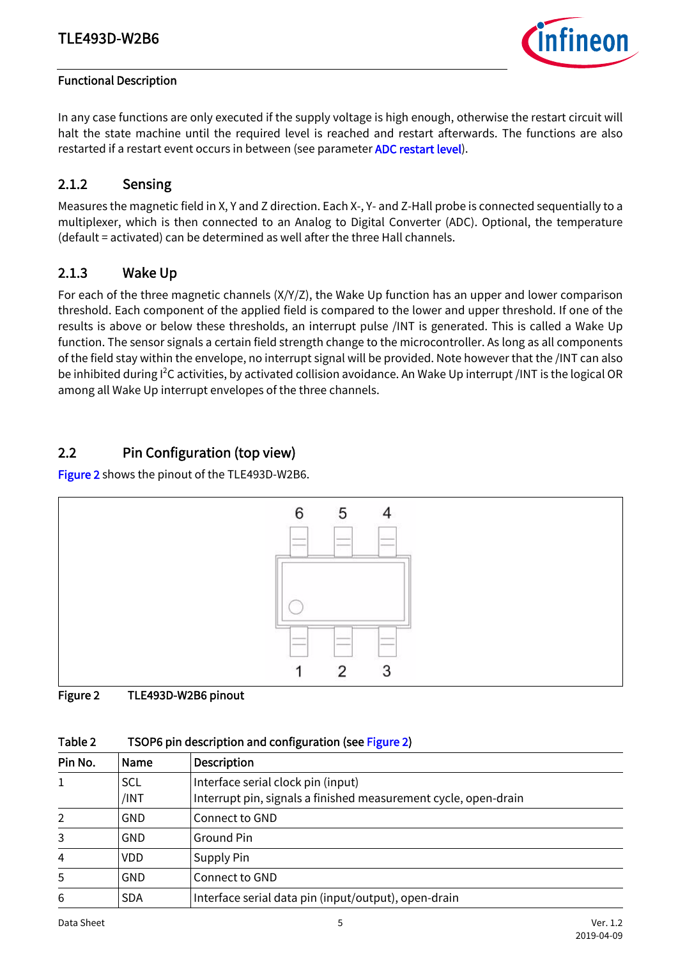

In any case functions are only executed if the supply voltage is high enough, otherwise the restart circuit will halt the state machine until the required level is reached and restart afterwards. The functions are also restarted if a restart event occurs in between (see parameter [ADC restart level](#page-8-1)).

# <span id="page-4-0"></span>2.1.2 Sensing

Measures the magnetic field in X, Y and Z direction. Each X-, Y- and Z-Hall probe is connected sequentially to a multiplexer, which is then connected to an Analog to Digital Converter (ADC). Optional, the temperature (default = activated) can be determined as well after the three Hall channels.

# <span id="page-4-1"></span>2.1.3 Wake Up

For each of the three magnetic channels (X/Y/Z), the Wake Up function has an upper and lower comparison threshold. Each component of the applied field is compared to the lower and upper threshold. If one of the results is above or below these thresholds, an interrupt pulse /INT is generated. This is called a Wake Up function. The sensor signals a certain field strength change to the microcontroller. As long as all components of the field stay within the envelope, no interrupt signal will be provided. Note however that the /INT can also be inhibited during I<sup>2</sup>C activities, by activated collision avoidance. An Wake Up interrupt /INT is the logical OR among all Wake Up interrupt envelopes of the three channels.

# <span id="page-4-2"></span>2.2 Pin Configuration (top view)

[Figure 2](#page-4-3) shows the pinout of the TLE493D-W2B6.



#### <span id="page-4-3"></span>Figure 2 TLE493D-W2B6 pinout

| Table 2 | TSOP6 pin description and configuration (see Figure 2) |  |  |
|---------|--------------------------------------------------------|--|--|
|         |                                                        |  |  |

| Pin No. | Name               | <b>Description</b>                                                                                    |
|---------|--------------------|-------------------------------------------------------------------------------------------------------|
| 1       | <b>SCL</b><br>/INT | Interface serial clock pin (input)<br>Interrupt pin, signals a finished measurement cycle, open-drain |
| 2       | <b>GND</b>         | Connect to GND                                                                                        |
| 3       | <b>GND</b>         | Ground Pin                                                                                            |
| 4       | <b>VDD</b>         | Supply Pin                                                                                            |
| 5       | <b>GND</b>         | Connect to GND                                                                                        |
| 6       | <b>SDA</b>         | Interface serial data pin (input/output), open-drain                                                  |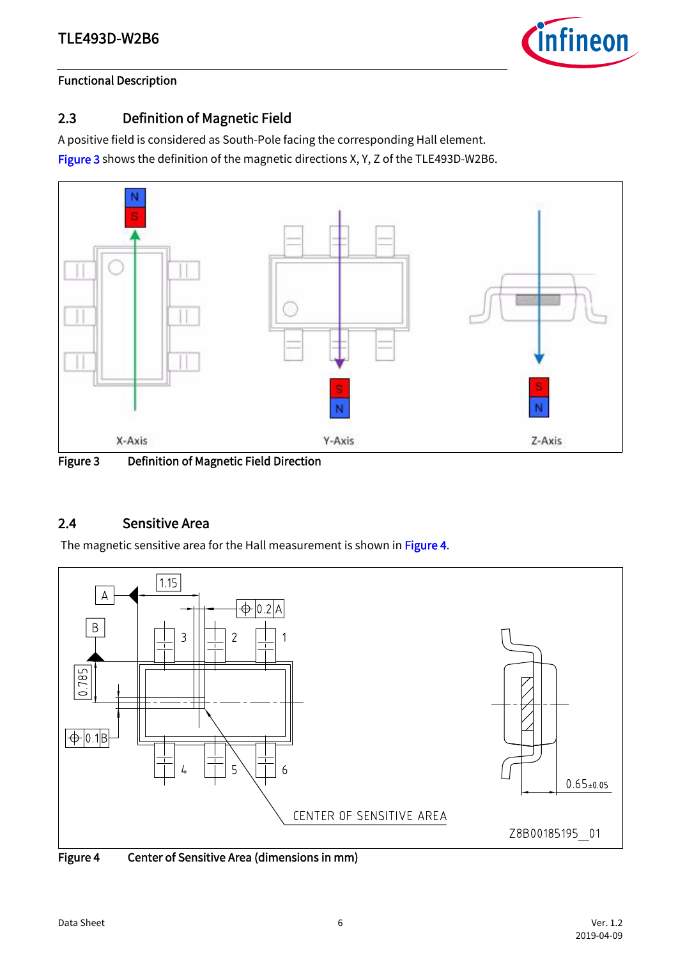

# <span id="page-5-0"></span>2.3 Definition of Magnetic Field

A positive field is considered as South-Pole facing the corresponding Hall element.

[Figure 3](#page-5-3) shows the definition of the magnetic directions X, Y, Z of the TLE493D-W2B6.



<span id="page-5-3"></span>Figure 3 Definition of Magnetic Field Direction

### <span id="page-5-1"></span>2.4 Sensitive Area

The magnetic sensitive area for the Hall measurement is shown in [Figure 4](#page-5-2).

<span id="page-5-4"></span><span id="page-5-2"></span>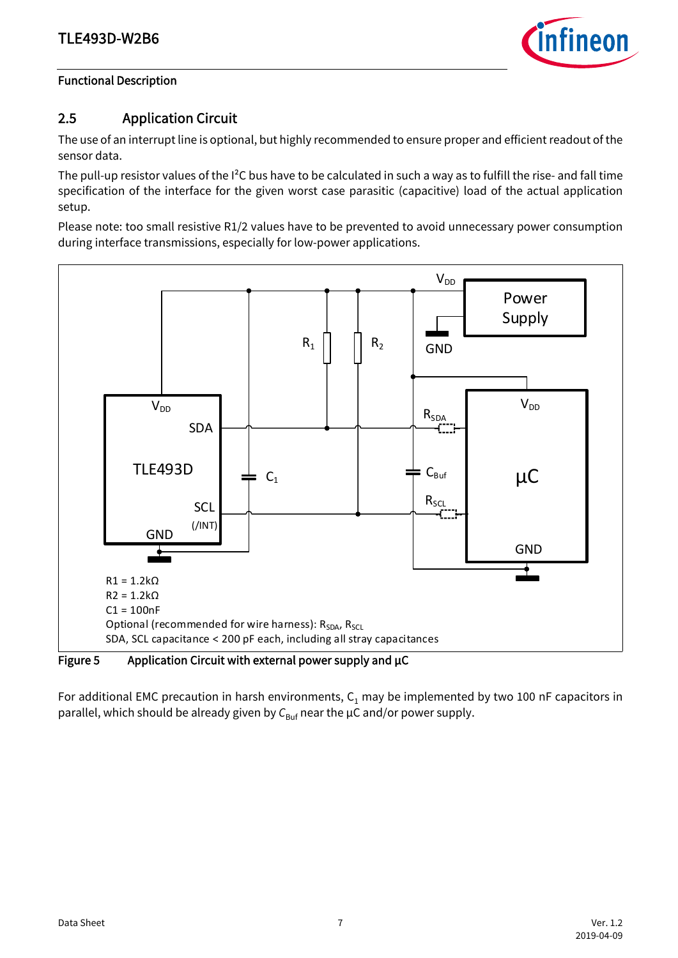

# <span id="page-6-0"></span>2.5 Application Circuit

The use of an interrupt line is optional, but highly recommended to ensure proper and efficient readout of the sensor data.

The pull-up resistor values of the  $I^2C$  bus have to be calculated in such a way as to fulfill the rise- and fall time specification of the interface for the given worst case parasitic (capacitive) load of the actual application setup.

Please note: too small resistive R1/2 values have to be prevented to avoid unnecessary power consumption during interface transmissions, especially for low-power applications.



<span id="page-6-1"></span>Figure 5 Application Circuit with external power supply and  $\mu$ C

For additional EMC precaution in harsh environments,  $C_1$  may be implemented by two 100 nF capacitors in parallel, which should be already given by  $C_{\text{Buf}}$  near the  $\mu$ C and/or power supply.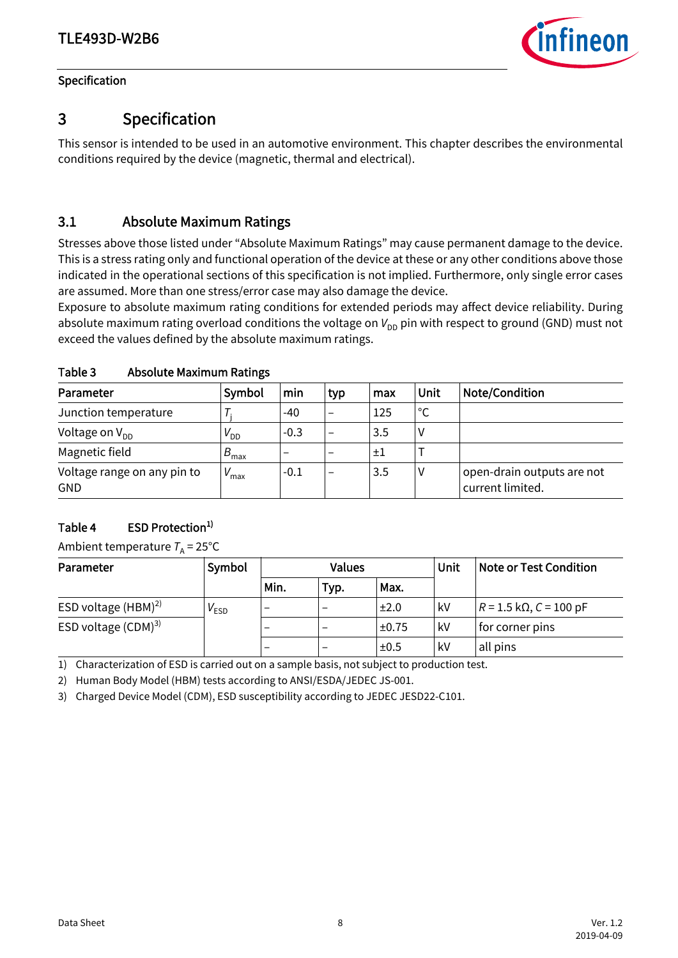

# <span id="page-7-0"></span>3 Specification

This sensor is intended to be used in an automotive environment. This chapter describes the environmental conditions required by the device (magnetic, thermal and electrical).

# <span id="page-7-1"></span>3.1 Absolute Maximum Ratings

Stresses above those listed under "Absolute Maximum Ratings" may cause permanent damage to the device. This is a stress rating only and functional operation of the device at these or any other conditions above those indicated in the operational sections of this specification is not implied. Furthermore, only single error cases are assumed. More than one stress/error case may also damage the device.

Exposure to absolute maximum rating conditions for extended periods may affect device reliability. During absolute maximum rating overload conditions the voltage on  $V_{DD}$  pin with respect to ground (GND) must not exceed the values defined by the absolute maximum ratings.

| Parameter                          | Symbol            | min    | typ                      | max     | Unit         | <b>Note/Condition</b>                          |
|------------------------------------|-------------------|--------|--------------------------|---------|--------------|------------------------------------------------|
| Junction temperature               |                   | $-40$  | -                        | 125     | $^{\circ}$ C |                                                |
| Voltage on $V_{DD}$                | $V_{\mathsf{DD}}$ | $-0.3$ | -                        | 3.5     |              |                                                |
| Magnetic field                     | $B_{\text{max}}$  |        |                          | $\pm 1$ |              |                                                |
| Voltage range on any pin to<br>GND | V<br>max          | $-0.1$ | $\overline{\phantom{0}}$ | 3.5     | ٧            | open-drain outputs are not<br>current limited. |

#### Table 3 Absolute Maximum Ratings

### Table 4 ESD Protection<sup>1)</sup>

Ambient temperature  $T_A = 25^{\circ}C$ 

| Parameter                | Symbol    | <b>Values</b> |      |       | <b>Unit</b> | <b>Note or Test Condition</b>                    |
|--------------------------|-----------|---------------|------|-------|-------------|--------------------------------------------------|
|                          |           | Min.          | Typ. | Max.  |             |                                                  |
| ESD voltage $(HBM)^{2)}$ | $V_{ESD}$ |               |      | ±2.0  | kV          | $R = 1.5 \text{ k}\Omega$ , $C = 100 \text{ pF}$ |
| ESD voltage $(CDM)^{3}$  |           |               |      | ±0.75 | kV          | for corner pins                                  |
|                          |           |               | -    | ±0.5  | kV          | all pins                                         |

1) Characterization of ESD is carried out on a sample basis, not subject to production test.

2) Human Body Model (HBM) tests according to ANSI/ESDA/JEDEC JS-001.

3) Charged Device Model (CDM), ESD susceptibility according to JEDEC JESD22-C101.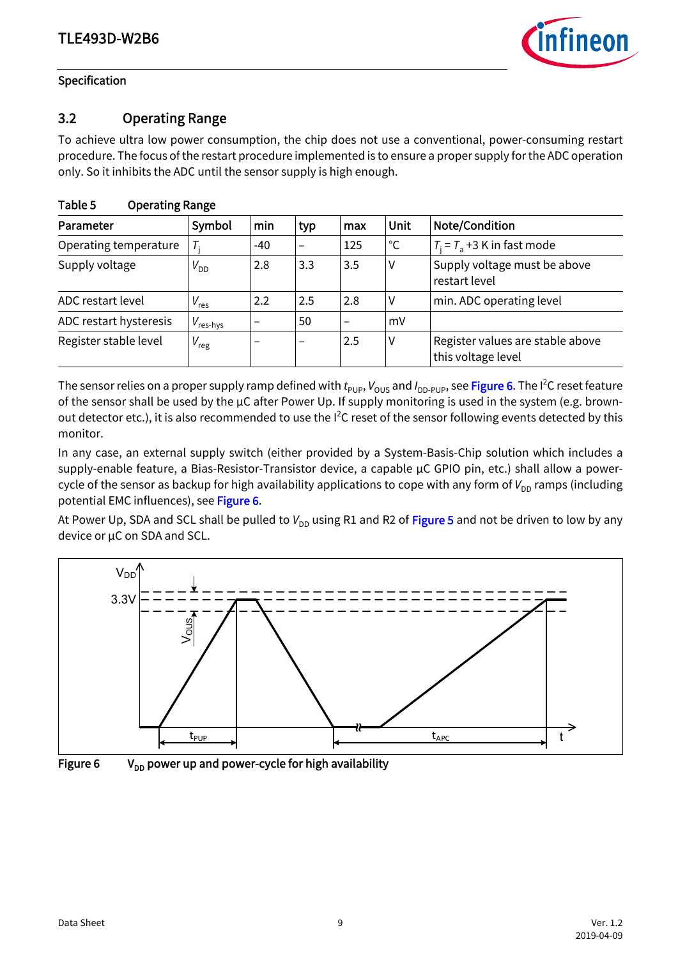

# <span id="page-8-3"></span><span id="page-8-0"></span>3.2 Operating Range

To achieve ultra low power consumption, the chip does not use a conventional, power-consuming restart procedure. The focus of the restart procedure implemented is to ensure a proper supply for the ADC operation only. So it inhibits the ADC until the sensor supply is high enough.

<span id="page-8-1"></span>

| Parameter              | Symbol               | min                      | typ                      | max | <b>Unit</b>  | <b>Note/Condition</b>                                  |
|------------------------|----------------------|--------------------------|--------------------------|-----|--------------|--------------------------------------------------------|
| Operating temperature  |                      | $-40$                    | $\overline{\phantom{0}}$ | 125 | $^{\circ}$ C | $T_i = T_a + 3$ K in fast mode                         |
| Supply voltage         | $V_{DD}$             | 2.8                      | 3.3                      | 3.5 | V            | Supply voltage must be above<br>restart level          |
| ADC restart level      | $V_{res}$            | 2.2                      | 2.5                      | 2.8 | ٧            | min. ADC operating level                               |
| ADC restart hysteresis | $V_{\text{res-hys}}$ | -                        | 50                       |     | mV           |                                                        |
| Register stable level  | $V_{reg}$            | $\overline{\phantom{0}}$ | -                        | 2.5 | V            | Register values are stable above<br>this voltage level |

#### Table 5 Operating Range

The sensor relies on a proper supply ramp defined with  $t_{\sf PUP},$   $V_{\sf OUS}$  and  $I_{\sf DD\text{-}PUP},$  see <mark>[Figure 6](#page-8-2).</mark> The I<sup>2</sup>C reset feature of the sensor shall be used by the µC after Power Up. If supply monitoring is used in the system (e.g. brownout detector etc.), it is also recommended to use the <sup>12</sup>C reset of the sensor following events detected by this monitor.

In any case, an external supply switch (either provided by a System-Basis-Chip solution which includes a supply-enable feature, a Bias-Resistor-Transistor device, a capable µC GPIO pin, etc.) shall allow a powercycle of the sensor as backup for high availability applications to cope with any form of  $V_{DD}$  ramps (including potential EMC influences), see [Figure 6](#page-8-2).

At Power Up, SDA and SCL shall be pulled to V<sub>DD</sub> using R1 and R2 of [Figure 5](#page-6-1) and not be driven to low by any device or µC on SDA and SCL.



<span id="page-8-2"></span>Figure 6  $V_{DD}$  power up and power-cycle for high availability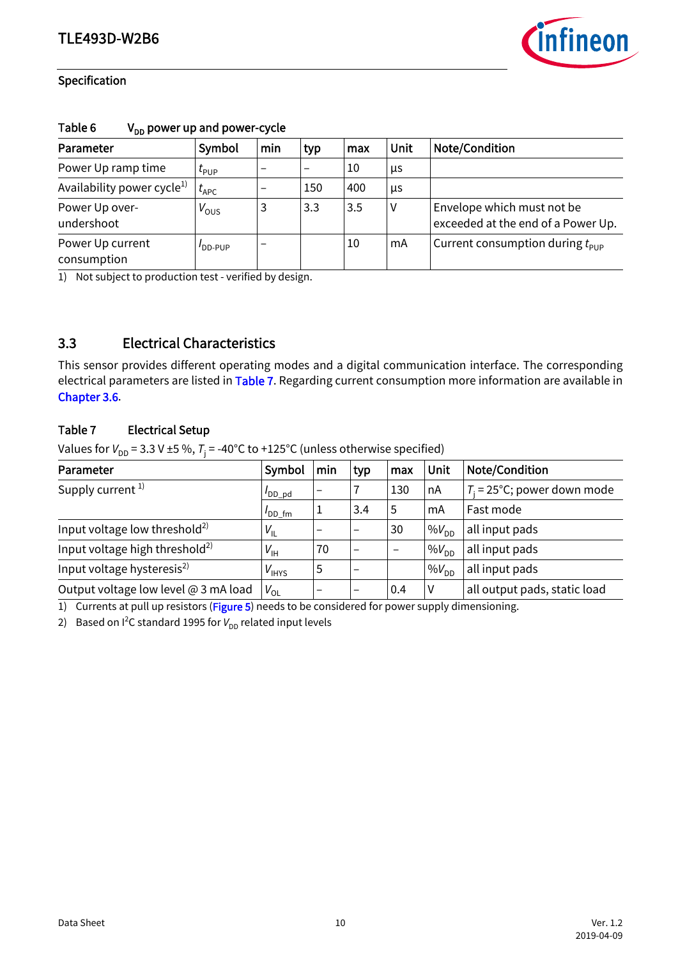

| Parameter                              | Symbol             | min | typ | max | Unit   | <b>Note/Condition</b>                                            |
|----------------------------------------|--------------------|-----|-----|-----|--------|------------------------------------------------------------------|
| Power Up ramp time                     | $t_{\mathsf{PUP}}$ |     |     | 10  | μs     |                                                                  |
| Availability power cycle <sup>1)</sup> | $t_{APC}$          |     | 150 | 400 | μs     |                                                                  |
| Power Up over-<br>undershoot           | $V_{OUS}$          | 3   | 3.3 | 3.5 | $\vee$ | Envelope which must not be<br>exceeded at the end of a Power Up. |
| Power Up current<br>consumption        | DD-PUP             |     |     | 10  | mA     | Current consumption during $t_{\text{PID}}$                      |

#### Table 6  $V_{DD}$  power up and power-cycle

1) Not subject to production test - verified by design.

# <span id="page-9-0"></span>3.3 Electrical Characteristics

This sensor provides different operating modes and a digital communication interface. The corresponding electrical parameters are listed in [Table 7](#page-9-2). Regarding current consumption more information are available in [Chapter 3.6.](#page-13-0)

#### <span id="page-9-2"></span>Table 7 Electrical Setup

Values for  $V_{DD} = 3.3$  V ±5 %,  $T_i = -40$ °C to +125°C (unless otherwise specified)

<span id="page-9-1"></span>

| Parameter                                  | Symbol         | min                      | typ                      | max                      | Unit      | <b>Note/Condition</b>                 |
|--------------------------------------------|----------------|--------------------------|--------------------------|--------------------------|-----------|---------------------------------------|
| Supply current <sup>1)</sup>               | $'$ DD_pd      | $\overline{\phantom{0}}$ |                          | 130                      | nA        | $T_i = 25^{\circ}$ C; power down mode |
|                                            | $I_{DD}$ fm    |                          | 3.4                      | 5                        | mA        | Fast mode                             |
| Input voltage low threshold <sup>2)</sup>  | $V_{\sf IL}$   |                          | $\overline{\phantom{0}}$ | 30                       | $%V_{DD}$ | all input pads                        |
| Input voltage high threshold <sup>2)</sup> | $V_{\text{H}}$ | 70                       |                          | $\overline{\phantom{0}}$ | $%V_{DD}$ | all input pads                        |
| Input voltage hysteresis <sup>2)</sup>     | $V_{IHYS}$     | 5                        | $\overline{\phantom{0}}$ |                          | $%V_{DD}$ | all input pads                        |
| Output voltage low level @ 3 mA load       | $V_{OL}$       |                          |                          | 0.4                      |           | all output pads, static load          |

1) Currents at pull up resistors ([Figure 5](#page-6-1)) needs to be considered for power supply dimensioning.

2) Based on I<sup>2</sup>C standard 1995 for V<sub>DD</sub> related input levels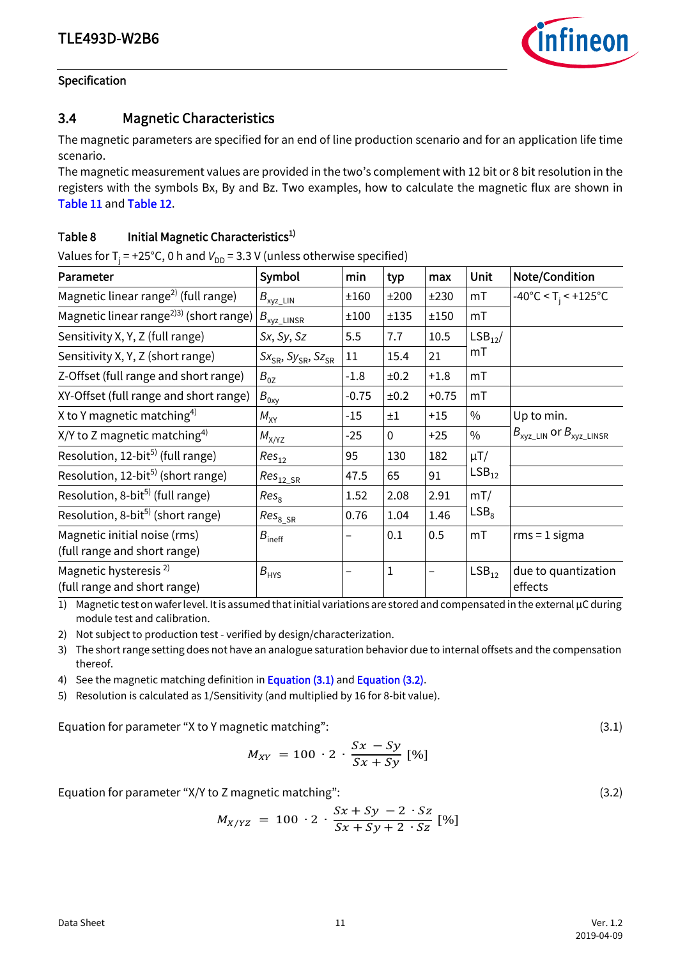

# <span id="page-10-0"></span>3.4 Magnetic Characteristics

The magnetic parameters are specified for an end of line production scenario and for an application life time scenario.

The magnetic measurement values are provided in the two's complement with 12 bit or 8 bit resolution in the registers with the symbols Bx, By and Bz. Two examples, how to calculate the magnetic flux are shown in [Table 11](#page-12-1) and [Table 12.](#page-12-2)

#### Table 8 Initial Magnetic Characteristics<sup>1)</sup>

Values for T<sub>j</sub> = +25°C, 0 h and V<sub>DD</sub> = 3.3 V (unless otherwise specified)

<span id="page-10-4"></span><span id="page-10-1"></span>

| Parameter                                           | Symbol                            | min     | typ         | max     | Unit              | Note/Condition                            |
|-----------------------------------------------------|-----------------------------------|---------|-------------|---------|-------------------|-------------------------------------------|
| Magnetic linear range <sup>2)</sup> (full range)    | $B_{xyz\_LIN}$                    | ±160    | ±200        | ±230    | mT                | $-40^{\circ}$ C < T <sub>i</sub> < +125°C |
| Magnetic linear range <sup>2)3)</sup> (short range) | $B_{xyz\_LINSR}$                  | ±100    | ±135        | ±150    | mT                |                                           |
| Sensitivity X, Y, Z (full range)                    | Sx, Sy, Sz                        | 5.5     | 7.7         | 10.5    | $LSB_{12}$        |                                           |
| Sensitivity X, Y, Z (short range)                   | $Sx_{SR}$ , $Sy_{SR}$ , $Sz_{SR}$ | 11      | 15.4        | 21      | mT                |                                           |
| Z-Offset (full range and short range)               | $B_{0Z}$                          | $-1.8$  | ±0.2        | $+1.8$  | mT                |                                           |
| XY-Offset (full range and short range)              | $B_{0xy}$                         | $-0.75$ | ±0.2        | $+0.75$ | mT                |                                           |
| X to Y magnetic matching <sup>4)</sup>              | $M_{XY}$                          | $-15$   | ±1          | $+15$   | $\%$              | Up to min.                                |
| $X/Y$ to Z magnetic matching <sup>4)</sup>          | $M_{X/YZ}$                        | $-25$   | $\mathbf 0$ | $+25$   | $\%$              | $B_{xyz \_$ LIN Or $B_{xyz \_$ LINSR      |
| Resolution, 12-bit <sup>5)</sup> (full range)       | Res <sub>12</sub>                 | 95      | 130         | 182     | $\mu T/$          |                                           |
| Resolution, 12-bit <sup>5)</sup> (short range)      | $Res_{12\_SR}$                    | 47.5    | 65          | 91      | LSB <sub>12</sub> |                                           |
| Resolution, 8-bit <sup>5)</sup> (full range)        | Res <sub>8</sub>                  | 1.52    | 2.08        | 2.91    | mT/               |                                           |
| Resolution, 8-bit <sup>5)</sup> (short range)       | $\textit{Res}_{8\_SR}$            | 0.76    | 1.04        | 1.46    | LSB <sub>8</sub>  |                                           |
| Magnetic initial noise (rms)                        | $B_{\text{ineff}}$                | -       | 0.1         | 0.5     | mT                | $rms = 1$ sigma                           |
| (full range and short range)                        |                                   |         |             |         |                   |                                           |
| Magnetic hysteresis <sup>2)</sup>                   | $B_{HYS}$                         |         | $\mathbf 1$ |         | LSB <sub>12</sub> | due to quantization                       |
| (full range and short range)                        |                                   |         |             |         |                   | effects                                   |

<span id="page-10-5"></span>1) Magnetic test on wafer level. It is assumed that initial variations are stored and compensated in the external  $\mu$ C during module test and calibration.

- 2) Not subject to production test verified by design/characterization.
- 3) The short range setting does not have an analogue saturation behavior due to internal offsets and the compensation thereof.
- 4) See the magnetic matching definition in **Equation (3.1)** and **[Equation \(3.2\)](#page-10-3).**
- 5) Resolution is calculated as 1/Sensitivity (and multiplied by 16 for 8-bit value).

<span id="page-10-2"></span>Equation for parameter "X to Y magnetic matching": (3.1)

$$
M_{XY} = 100 \cdot 2 \cdot \frac{Sx - Sy}{Sx + Sy} \, [\%]
$$

<span id="page-10-3"></span>Equation for parameter "X/Y to Z magnetic matching": (3.2)

$$
M_{X/YZ} = 100 \cdot 2 \cdot \frac{Sx + Sy - 2 \cdot Sz}{Sx + Sy + 2 \cdot Sz} \, [\%]
$$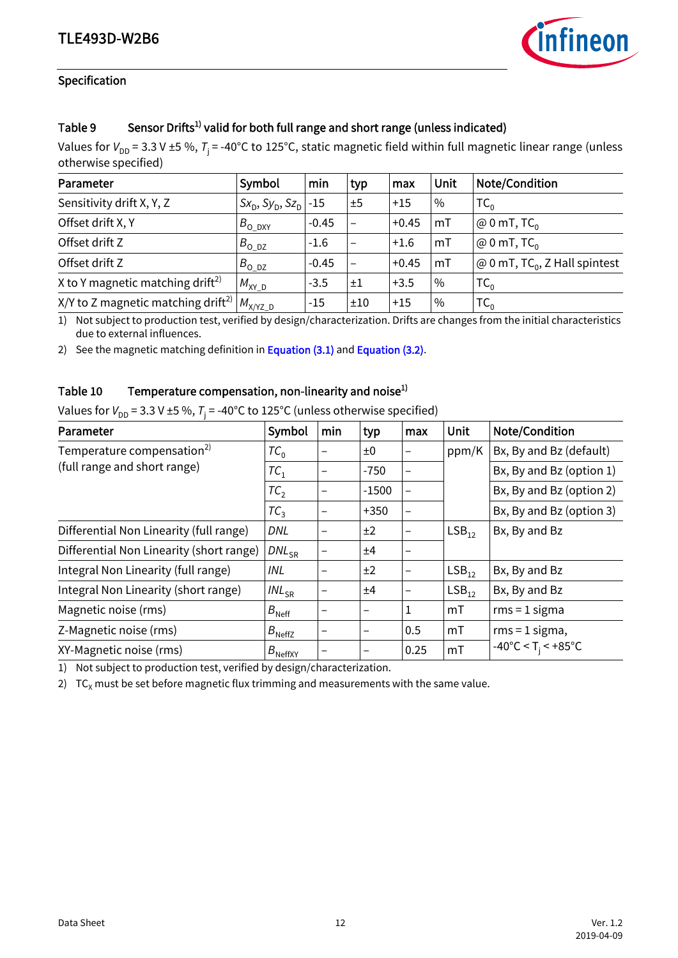

### Table 9 Sensor Drifts<sup>1)</sup> valid for both full range and short range (unless indicated)

Values for  $V_{DD}$  = 3.3 V ±5 %,  $T_i$  = -40°C to 125°C, static magnetic field within full magnetic linear range (unless otherwise specified)

| Parameter                                      | Symbol                               | min     | typ     | max     | <b>Unit</b>   | <b>Note/Condition</b>            |
|------------------------------------------------|--------------------------------------|---------|---------|---------|---------------|----------------------------------|
| Sensitivity drift X, Y, Z                      | $Sx_{D}$ , $Sy_{D}$ , $Sz_{D}$   -15 |         | ±5      | $+15$   | $\%$          | $TC_{0}$                         |
| Offset drift X, Y                              | $B_{O$ DXY                           | $-0.45$ |         | $+0.45$ | mT            | @ 0 mT, $TC_0$                   |
| Offset drift Z                                 | $B_{O, DZ}$                          | $-1.6$  |         | $+1.6$  | mT            | @ 0 mT, $TC0$                    |
| Offset drift Z                                 | $B_{O, DZ}$                          | $-0.45$ |         | $+0.45$ | mT            | @ 0 mT, $TC_0$ , Z Hall spintest |
| X to Y magnetic matching drift <sup>2)</sup>   | $M_{XY\_D}$                          | $-3.5$  | $\pm 1$ | $+3.5$  | $\%$          | $TC_{0}$                         |
| X/Y to Z magnetic matching drift <sup>2)</sup> | $M_{X/YZ_D}$                         | $-15$   | ±10     | $+15$   | $\frac{0}{0}$ | $TC_0$                           |

<span id="page-11-0"></span>1) Not subject to production test, verified by design/characterization. Drifts are changes from the initial characteristics due to external influences.

2) See the magnetic matching definition in **Equation (3.1)** and **[Equation \(3.2\)](#page-10-3)**.

#### Table 10 Temperature compensation, non-linearity and noise<sup>1)</sup>

| Values for $V_{DD}$ = 3.3 V ±5 %, $T_i$ = -40°C to 125°C (unless otherwise specified) |
|---------------------------------------------------------------------------------------|
|                                                                                       |

| Parameter                                | Symbol              | min | typ                      | max                      | <b>Unit</b> | <b>Note/Condition</b>                    |
|------------------------------------------|---------------------|-----|--------------------------|--------------------------|-------------|------------------------------------------|
| Temperature compensation <sup>2)</sup>   | $TC_0$              |     | $\pm 0$                  | -                        | ppm/K       | Bx, By and Bz (default)                  |
| (full range and short range)             | $TC_1$              |     | $-750$                   | $\overline{\phantom{0}}$ |             | Bx, By and Bz (option 1)                 |
|                                          | $TC_2$              |     | $-1500$                  | $\qquad \qquad -$        |             | Bx, By and Bz (option 2)                 |
|                                          | $TC_3$              |     | $+350$                   | $\qquad \qquad -$        |             | Bx, By and Bz (option 3)                 |
| Differential Non Linearity (full range)  | <b>DNL</b>          |     | ±2                       | $\qquad \qquad -$        | $LSB_{12}$  | Bx, By and Bz                            |
| Differential Non Linearity (short range) | $DNL_{SR}$          |     | ±4                       | $\overline{\phantom{m}}$ |             |                                          |
| Integral Non Linearity (full range)      | INL                 |     | ±2                       | -                        | $LSB_{12}$  | Bx, By and Bz                            |
| Integral Non Linearity (short range)     | $INL_{SR}$          |     | ±4                       | -                        | $LSB_{12}$  | Bx, By and Bz                            |
| Magnetic noise (rms)                     | $B_{\text{Neff}}$   |     | $\overline{\phantom{0}}$ | 1                        | mT          | $rms = 1$ sigma                          |
| Z-Magnetic noise (rms)                   | $B_{\text{NeffZ}}$  | -   | $\overline{\phantom{m}}$ | 0.5                      | mT          | $rms = 1$ sigma,                         |
| XY-Magnetic noise (rms)                  | $B_{\text{NeffXY}}$ |     | $\overline{\phantom{0}}$ | 0.25                     | mT          | $-40^{\circ}$ C < T <sub>i</sub> < +85°C |

1) Not subject to production test, verified by design/characterization.

2)  $TC_x$  must be set before magnetic flux trimming and measurements with the same value.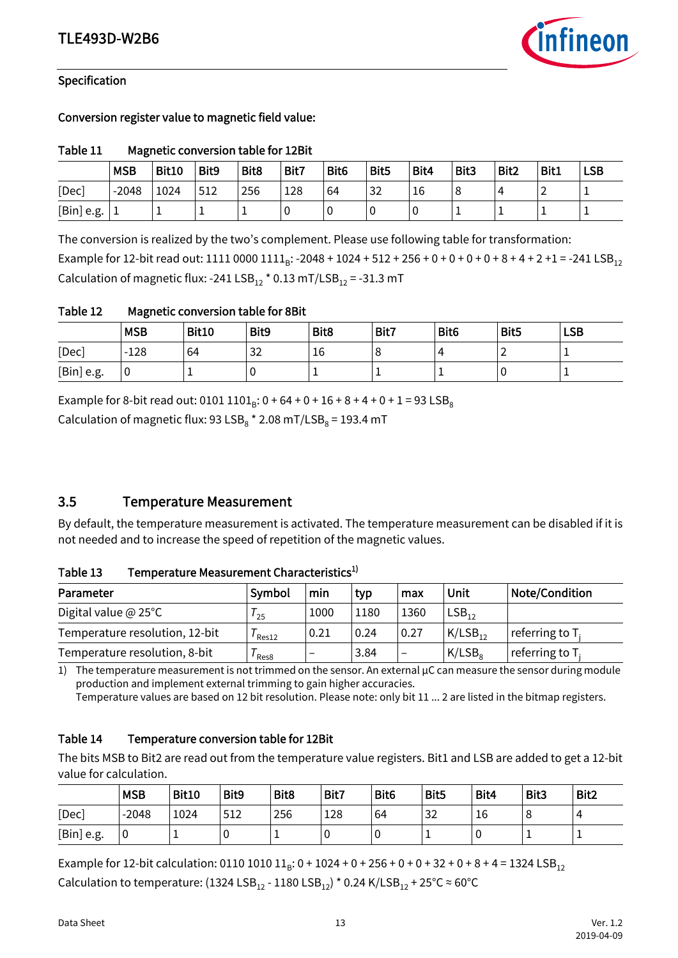

Conversion register value to magnetic field value:

| .          |            |              |      |      |      |                  |      |      |      |      |      |            |
|------------|------------|--------------|------|------|------|------------------|------|------|------|------|------|------------|
|            | <b>MSB</b> | <b>Bit10</b> | Bit9 | Bit8 | Bit7 | Bit <sub>6</sub> | Bit5 | Bit4 | Bit3 | Bit2 | Bit1 | <b>LSB</b> |
| [Dec]      | $-2048$    | 1024         | 512  | 256  | 128  | 64               | 32   | 16   | 8    |      |      |            |
| [Bin] e.g. |            |              |      |      |      | 0                |      | υ    |      |      |      |            |

#### <span id="page-12-1"></span>Table 11 Magnetic conversion table for 12Bit

The conversion is realized by the two's complement. Please use following table for transformation: Example for 12-bit read out: 1111 0000  $1111_B$ : -2048 + 1024 + 512 + 256 + 0 + 0 + 0 + 0 + 8 + 4 + 2 +1 = -241 LSB<sub>12</sub> Calculation of magnetic flux: -241 LSB<sub>12</sub> \* 0.13 mT/LSB<sub>12</sub> = -31.3 mT

<span id="page-12-2"></span>

| Table 12 | <b>Magnetic conversion table for 8Bit</b> |  |
|----------|-------------------------------------------|--|
|          |                                           |  |

|            | <b>MSB</b> | <b>Bit10</b> | Bit9     | Bit <sub>8</sub> | Bit7      | Bit <sub>6</sub> | Bit5 | <b>LSB</b> |
|------------|------------|--------------|----------|------------------|-----------|------------------|------|------------|
| [Dec]      | $-128$     | 64           | າາ<br>٥z | 16               | O         |                  |      |            |
| [Bin] e.g. |            | -            |          |                  | <u>д.</u> |                  |      |            |

Example for 8-bit read out: 0101  $1101_B$ : 0 + 64 + 0 + 16 + 8 + 4 + 0 + 1 = 93 LSB<sub>8</sub>

Calculation of magnetic flux: 93 LSB<sub>8</sub>  $*$  2.08 mT/LSB<sub>8</sub> = 193.4 mT

# <span id="page-12-0"></span>3.5 Temperature Measurement

By default, the temperature measurement is activated. The temperature measurement can be disabled if it is not needed and to increase the speed of repetition of the magnetic values.

| Table 13 | Temperature Measurement Characteristics <sup>1)</sup> |
|----------|-------------------------------------------------------|
|----------|-------------------------------------------------------|

| Parameter                      | <b>Symbol</b>      | min                      | typ  | max  | Unit         | <b>Note/Condition</b> |
|--------------------------------|--------------------|--------------------------|------|------|--------------|-----------------------|
| Digital value $@$ 25 $°C$      | $^{\prime}$ 25     | 1000                     | 1180 | 1360 | $LSB_{12}$   |                       |
| Temperature resolution, 12-bit | <sup>I</sup> Res12 | 0.21                     | 0.24 | 0.27 | $K/LSB_{12}$ | referring to $T_i$    |
| Temperature resolution, 8-bit  | ' Res8             | $\overline{\phantom{0}}$ | 3.84 |      | $K/LSB_8$    | referring to $T_i$    |

1) The temperature measurement is not trimmed on the sensor. An external  $\mu$ C can measure the sensor during module production and implement external trimming to gain higher accuracies.

Temperature values are based on 12 bit resolution. Please note: only bit 11 ... 2 are listed in the bitmap registers.

#### Table 14 Temperature conversion table for 12Bit

The bits MSB to Bit2 are read out from the temperature value registers. Bit1 and LSB are added to get a 12-bit value for calculation.

|            | <b>MSB</b> | <b>Bit10</b> | Bit9 | Bit8 | Bit7 | Bit <sub>6</sub> | Bit5     | Bit4 | Bit3   | Bit2 |
|------------|------------|--------------|------|------|------|------------------|----------|------|--------|------|
| [Dec]      | $-2048$    | 1024         | 512  | 256  | 128  | 64               | າາ<br>٥z | 16   | Ω<br>Õ |      |
| [Bin] e.g. | ν          |              | J    | л.   |      | 0                |          |      |        |      |

Example for 12-bit calculation: 0110 1010  $11_B$ : 0 + 1024 + 0 + 256 + 0 + 0 + 32 + 0 + 8 + 4 = 1324 LSB<sub>12</sub>

Calculation to temperature: (1324 LSB<sub>12</sub> - 1180 LSB<sub>12</sub>) \* 0.24 K/LSB<sub>12</sub> + 25°C ≈ 60°C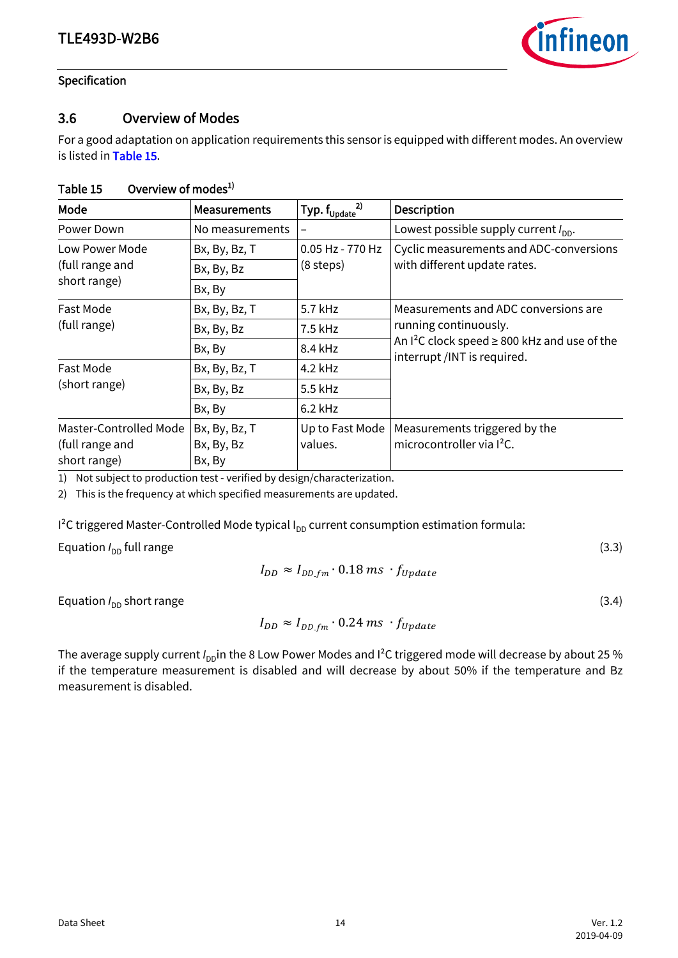

# <span id="page-13-0"></span>3.6 Overview of Modes

For a good adaptation on application requirements this sensor is equipped with different modes. An overview is listed in [Table 15.](#page-13-1)

#### <span id="page-13-1"></span>Table 15 Overview of modes<sup>1)</sup>

| Mode                   | <b>Measurements</b> | Typ. $f_{Update}^{2)}$ | Description                                                                        |  |  |  |  |
|------------------------|---------------------|------------------------|------------------------------------------------------------------------------------|--|--|--|--|
| Power Down             | No measurements     |                        | Lowest possible supply current $I_{\text{DD}}$ .                                   |  |  |  |  |
| Low Power Mode         | Bx, By, Bz, T       | 0.05 Hz - 770 Hz       | Cyclic measurements and ADC-conversions                                            |  |  |  |  |
| (full range and        | Bx, By, Bz          | $(8$ steps $)$         | with different update rates.                                                       |  |  |  |  |
| short range)           | Bx, By              |                        |                                                                                    |  |  |  |  |
| Fast Mode              | Bx, By, Bz, T       | 5.7 kHz                | Measurements and ADC conversions are                                               |  |  |  |  |
| (full range)           | Bx, By, Bz          | 7.5 kHz                | running continuously.                                                              |  |  |  |  |
|                        | Bx, By              | 8.4 kHz                | An $I^2C$ clock speed $\geq$ 800 kHz and use of the<br>interrupt /INT is required. |  |  |  |  |
| Fast Mode              | Bx, By, Bz, T       | 4.2 kHz                |                                                                                    |  |  |  |  |
| (short range)          | Bx, By, Bz          | 5.5 kHz                |                                                                                    |  |  |  |  |
|                        | Bx, By              | $6.2$ kHz              |                                                                                    |  |  |  |  |
| Master-Controlled Mode | Bx, By, Bz, T       | Up to Fast Mode        | Measurements triggered by the                                                      |  |  |  |  |
| (full range and        | Bx, By, Bz          | values.                | microcontroller via I <sup>2</sup> C.                                              |  |  |  |  |
| short range)           | Bx, By              |                        |                                                                                    |  |  |  |  |

1) Not subject to production test - verified by design/characterization.

2) This is the frequency at which specified measurements are updated.

 $I<sup>2</sup>C$  triggered Master-Controlled Mode typical I<sub>DD</sub> current consumption estimation formula:

Equation  $I_{\text{DD}}$  full range (3.3)

$$
I_{DD} \approx I_{DD,fm} \cdot 0.18 \, ms \cdot f_{Update}
$$

Equation  $I_{\text{DD}}$  short range (3.4)

 $I_{DD} \approx I_{DD,fm} \cdot 0.24 \text{ ms} \cdot f_{Update}$ 

The average supply current *I*<sub>DD</sub>in the 8 Low Power Modes and I<sup>2</sup>C triggered mode will decrease by about 25 % if the temperature measurement is disabled and will decrease by about 50% if the temperature and Bz measurement is disabled.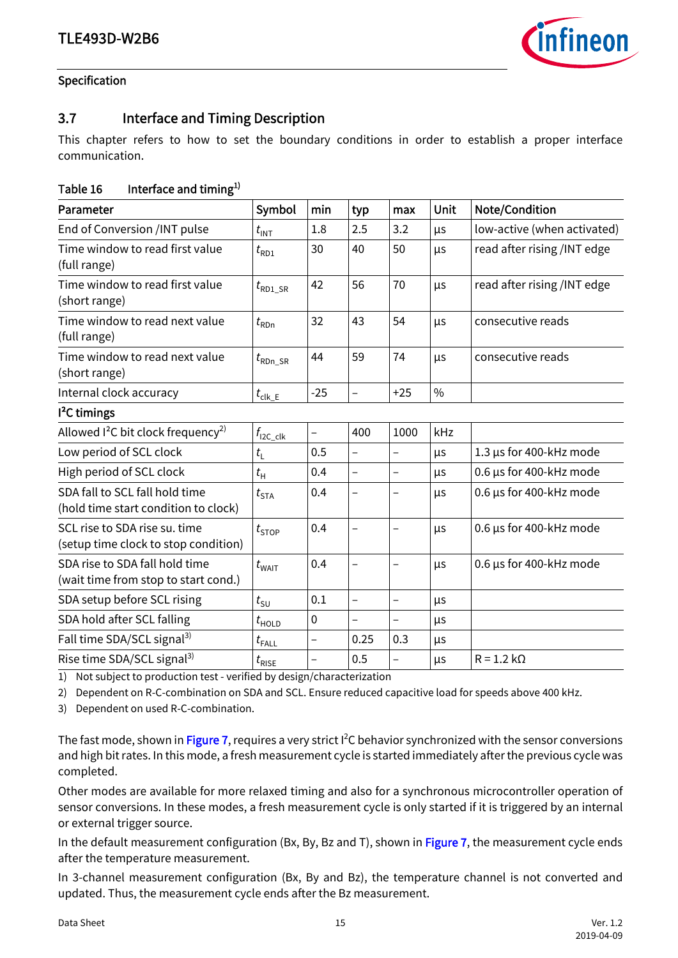

# <span id="page-14-0"></span>3.7 Interface and Timing Description

This chapter refers to how to set the boundary conditions in order to establish a proper interface communication.

#### Table 16 Interface and timing<sup>1)</sup>

| Parameter                                                              | Symbol                | min                      | typ                      | max                      | Unit          | <b>Note/Condition</b>       |
|------------------------------------------------------------------------|-----------------------|--------------------------|--------------------------|--------------------------|---------------|-----------------------------|
| End of Conversion /INT pulse                                           | $t_{\text{INT}}$      | 1.8                      | 2.5                      | 3.2                      | μs            | low-active (when activated) |
| Time window to read first value<br>(full range)                        | $t_{\sf RD1}$         | 30                       | 40                       | 50                       | μs            | read after rising /INT edge |
| Time window to read first value<br>(short range)                       | $t_{\text{RD1\_SR}}$  | 42                       | 56                       | 70                       | μs            | read after rising /INT edge |
| Time window to read next value<br>(full range)                         | $t_{\sf RDn}$         | 32                       | 43                       | 54                       | μs            | consecutive reads           |
| Time window to read next value<br>(short range)                        | $t_{\text{R}}$ Dn_SR  | 44                       | 59                       | 74                       | μs            | consecutive reads           |
| Internal clock accuracy                                                | $t_{\text{clk\_E}}$   | $-25$                    | $\overline{a}$           | $+25$                    | $\frac{0}{0}$ |                             |
| $12C$ timings                                                          |                       |                          |                          |                          |               |                             |
| Allowed $I^2C$ bit clock frequency <sup>2)</sup>                       | $f_{\text{I2C\_clk}}$ |                          | 400                      | 1000                     | kHz           |                             |
| Low period of SCL clock                                                | $t_{\rm L}$           | 0.5                      | $\overline{\phantom{0}}$ | $\qquad \qquad -$        | μs            | 1.3 µs for 400-kHz mode     |
| High period of SCL clock                                               | $t_{\rm H}$           | 0.4                      | $\overline{a}$           |                          | μs            | 0.6 µs for 400-kHz mode     |
| SDA fall to SCL fall hold time<br>(hold time start condition to clock) | $t_{\text{STA}}$      | 0.4                      | $\overline{\phantom{0}}$ |                          | μs            | 0.6 µs for 400-kHz mode     |
| SCL rise to SDA rise su, time<br>(setup time clock to stop condition)  | $t_{\text{STOP}}$     | 0.4                      | $\overline{\phantom{0}}$ | $\overline{\phantom{0}}$ | μs            | 0.6 µs for 400-kHz mode     |
| SDA rise to SDA fall hold time<br>(wait time from stop to start cond.) | $t_{\text{WAIT}}$     | 0.4                      | -                        | -                        | μs            | 0.6 µs for 400-kHz mode     |
| SDA setup before SCL rising                                            | $t_{\text{SU}}$       | 0.1                      | $\overline{\phantom{0}}$ | $\qquad \qquad -$        | μs            |                             |
| SDA hold after SCL falling                                             | $t_{\text{HOLD}}$     | $\mathbf 0$              | -                        |                          | μs            |                             |
| Fall time SDA/SCL signal <sup>3)</sup>                                 | $t_{\text{FALL}}$     | $\overline{\phantom{0}}$ | 0.25                     | 0.3                      | μs            |                             |
| Rise time SDA/SCL signal <sup>3)</sup>                                 | $t_{\text{RISE}}$     | $\overline{\phantom{0}}$ | 0.5                      | -                        | μs            | $R = 1.2 k\Omega$           |

<span id="page-14-1"></span>1) Not subject to production test - verified by design/characterization

2) Dependent on R-C-combination on SDA and SCL. Ensure reduced capacitive load for speeds above 400 kHz.

3) Dependent on used R-C-combination.

The fast mode, shown in [Figure 7](#page-15-0), requires a very strict I<sup>2</sup>C behavior synchronized with the sensor conversions and high bit rates. In this mode, a fresh measurement cycle is started immediately after the previous cycle was completed.

Other modes are available for more relaxed timing and also for a synchronous microcontroller operation of sensor conversions. In these modes, a fresh measurement cycle is only started if it is triggered by an internal or external trigger source.

In the default measurement configuration (Bx, By, Bz and T), shown in [Figure 7](#page-15-0), the measurement cycle ends after the temperature measurement.

In 3-channel measurement configuration (Bx, By and Bz), the temperature channel is not converted and updated. Thus, the measurement cycle ends after the Bz measurement.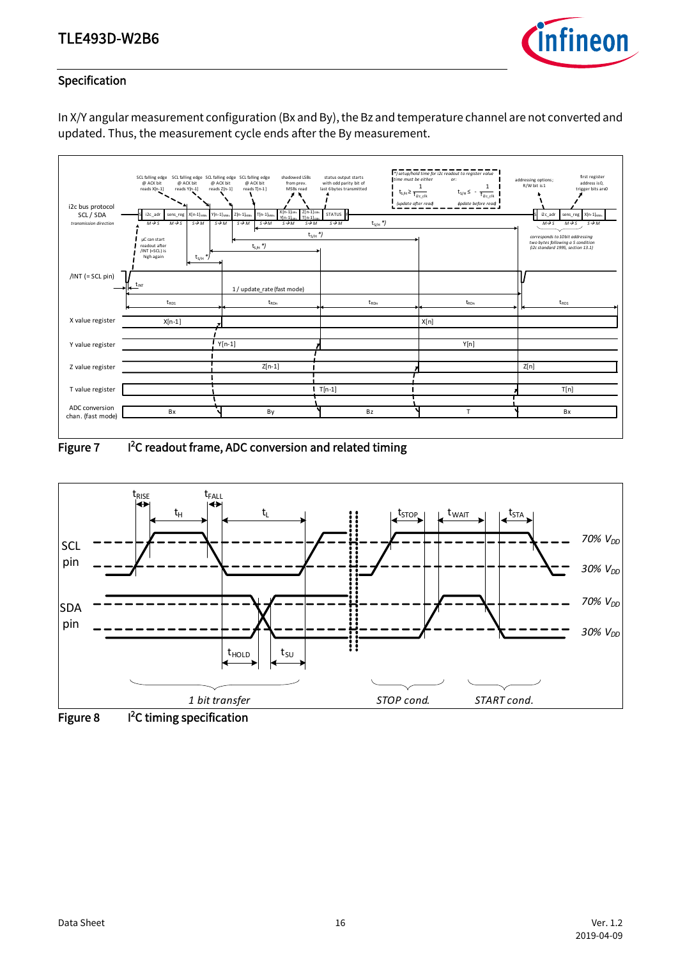

In X/Y angular measurement configuration (Bx and By), the Bz and temperature channel are not converted and updated. Thus, the measurement cycle ends after the By measurement.



<span id="page-15-0"></span>Figure 7 <sup>12</sup>C readout frame, ADC conversion and related timing



Figure 8 I<sup>2</sup>C timing specification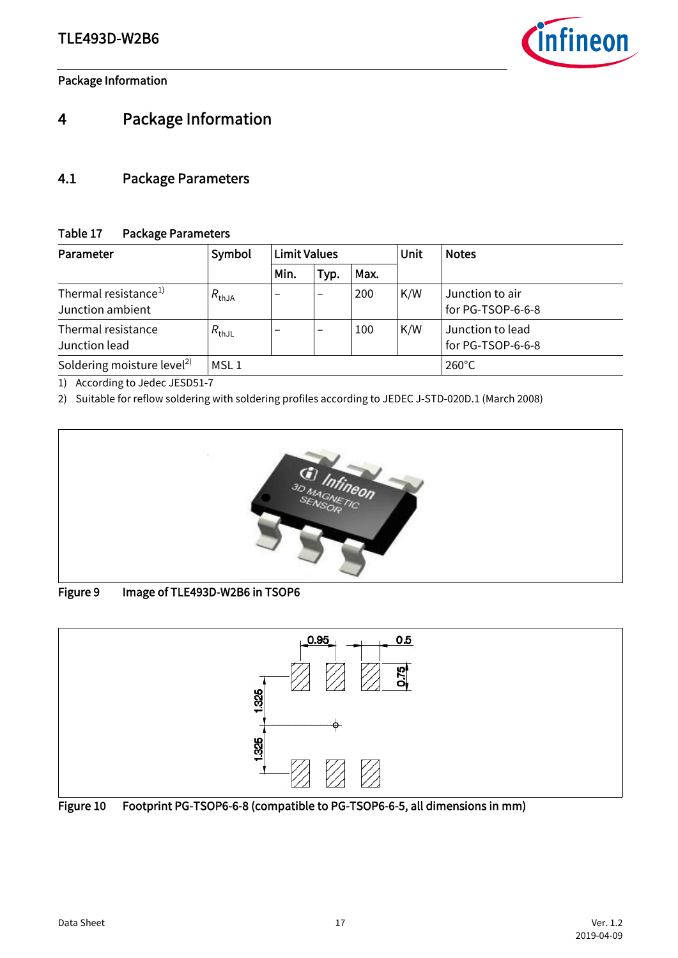

Package Information

# <span id="page-16-0"></span>4 Package Information

## <span id="page-16-1"></span>4.1 Package Parameters

#### Table 17 Package Parameters

| Parameter                                            | Symbol            | <b>Limit Values</b> |                          |      | Unit | <b>Notes</b>                          |
|------------------------------------------------------|-------------------|---------------------|--------------------------|------|------|---------------------------------------|
|                                                      |                   | Min.                | Typ.                     | Max. |      |                                       |
| Thermal resistance <sup>1)</sup><br>Junction ambient | $R_{\text{thJA}}$ |                     | $\overline{\phantom{0}}$ | 200  | K/W  | Junction to air<br>for PG-TSOP-6-6-8  |
| Thermal resistance<br>Junction lead                  | $R_{\rm thJL}$    |                     | $\overline{\phantom{0}}$ | 100  | K/W  | Junction to lead<br>for PG-TSOP-6-6-8 |
| Soldering moisture level <sup>2)</sup>               | MSL <sub>1</sub>  |                     |                          |      |      | $260^{\circ}$ C                       |

1) According to Jedec JESD51-7

2) Suitable for reflow soldering with soldering profiles according to JEDEC J-STD-020D.1 (March 2008)



Figure 9 Image of TLE493D-W2B6 in TSOP6



Figure 10 Footprint PG-TSOP6-6-8 (compatible to PG-TSOP6-6-5, all dimensions in mm)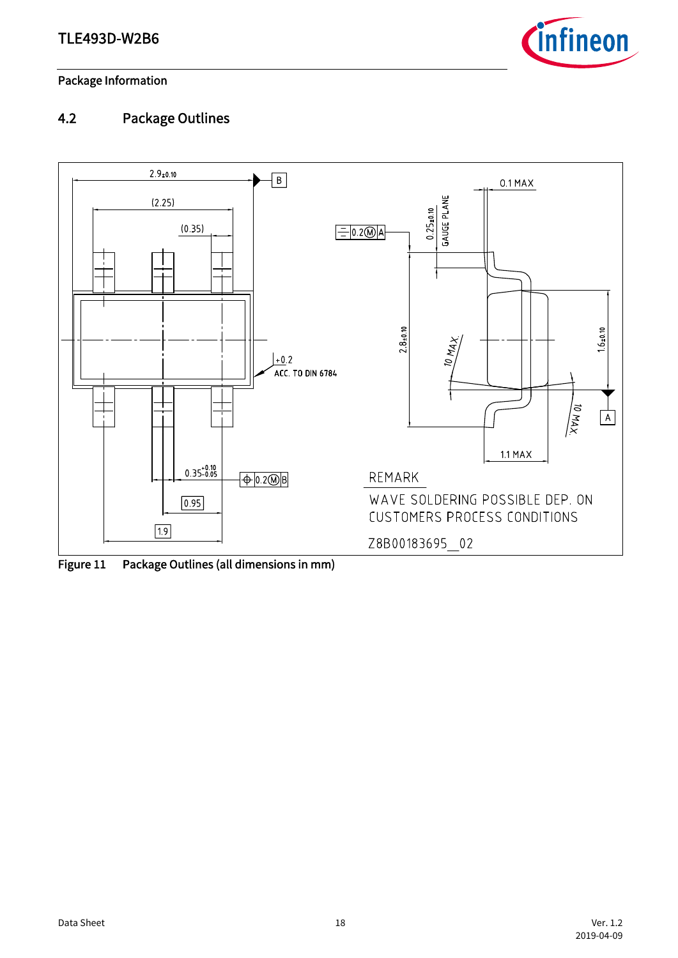

## Package Information

# <span id="page-17-0"></span>4.2 Package Outlines



<span id="page-17-1"></span>Figure 11 Package Outlines (all dimensions in mm)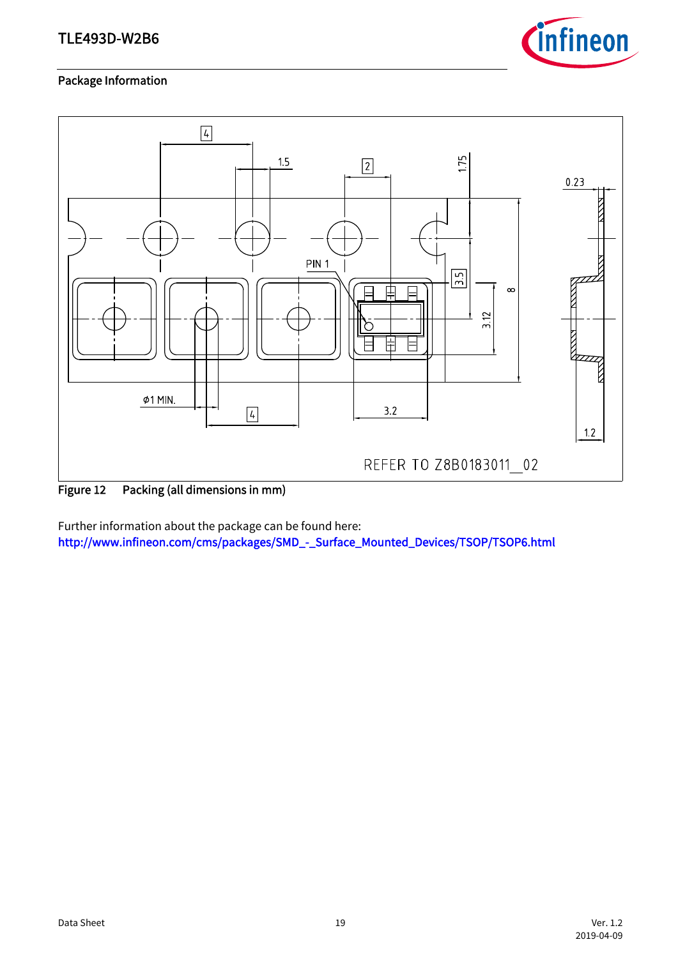

# Package Information



<span id="page-18-0"></span>Figure 12 Packing (all dimensions in mm)

Further information about the package can be found here: http://www.infineon.com/cms/packages/SMD\_-\_Surface\_Mounted\_Devices/TSOP/TSOP6.html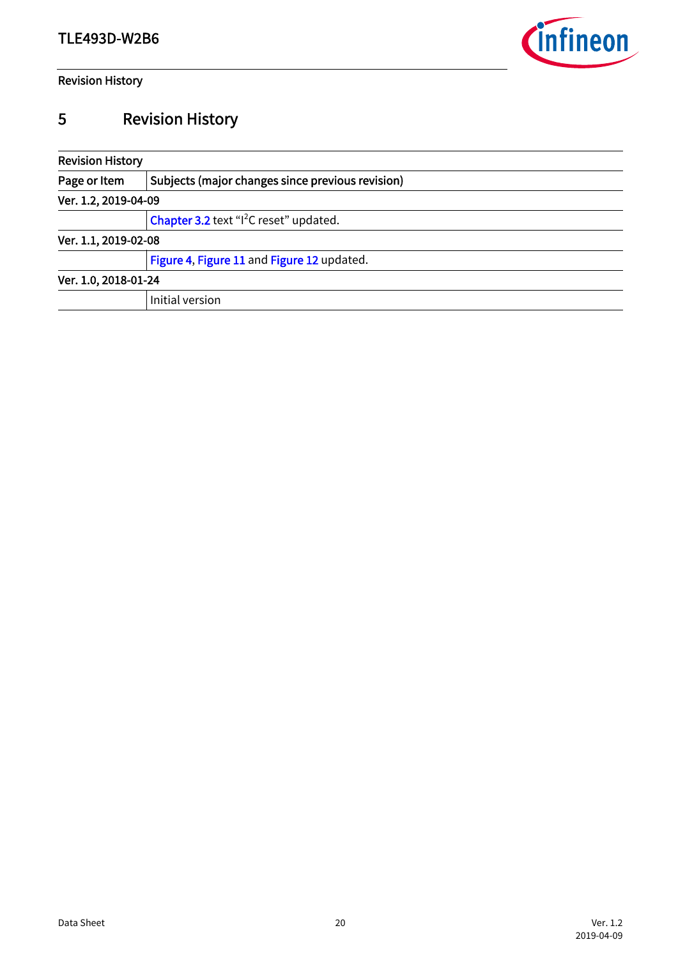

#### Revision History

# <span id="page-19-0"></span>5 Revision History

| <b>Revision History</b> |                                                    |  |  |  |  |  |  |
|-------------------------|----------------------------------------------------|--|--|--|--|--|--|
| Page or Item            | Subjects (major changes since previous revision)   |  |  |  |  |  |  |
| Ver. 1.2, 2019-04-09    |                                                    |  |  |  |  |  |  |
|                         | Chapter 3.2 text "I <sup>2</sup> C reset" updated. |  |  |  |  |  |  |
| Ver. 1.1, 2019-02-08    |                                                    |  |  |  |  |  |  |
|                         | Figure 4, Figure 11 and Figure 12 updated.         |  |  |  |  |  |  |
| Ver. 1.0, 2018-01-24    |                                                    |  |  |  |  |  |  |
|                         | Initial version                                    |  |  |  |  |  |  |